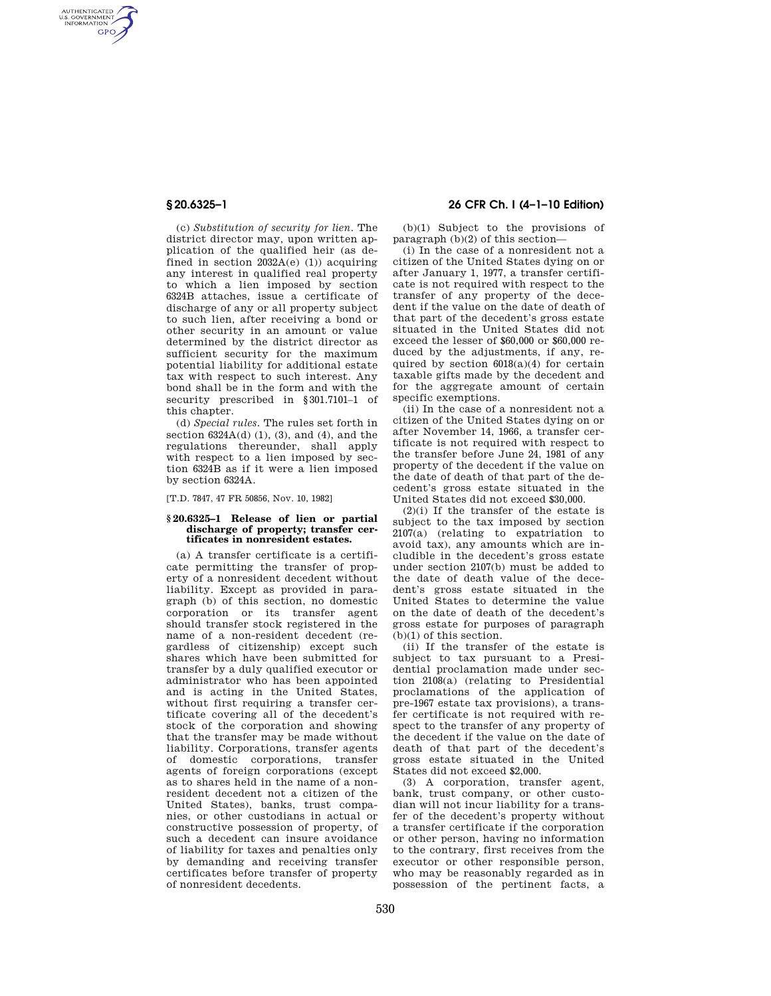AUTHENTICATED<br>U.S. GOVERNMENT<br>INFORMATION **GPO** 

> (c) *Substitution of security for lien.* The district director may, upon written application of the qualified heir (as defined in section  $2032A(e)$  (1)) acquiring any interest in qualified real property to which a lien imposed by section 6324B attaches, issue a certificate of discharge of any or all property subject to such lien, after receiving a bond or other security in an amount or value determined by the district director as sufficient security for the maximum potential liability for additional estate tax with respect to such interest. Any bond shall be in the form and with the security prescribed in §301.7101–1 of this chapter.

(d) *Special rules.* The rules set forth in section  $6324A(d)$  (1), (3), and (4), and the regulations thereunder, shall apply with respect to a lien imposed by section 6324B as if it were a lien imposed by section 6324A.

[T.D. 7847, 47 FR 50856, Nov. 10, 1982]

## **§ 20.6325–1 Release of lien or partial discharge of property; transfer certificates in nonresident estates.**

(a) A transfer certificate is a certificate permitting the transfer of property of a nonresident decedent without liability. Except as provided in paragraph (b) of this section, no domestic corporation or its transfer agent should transfer stock registered in the name of a non-resident decedent (regardless of citizenship) except such shares which have been submitted for transfer by a duly qualified executor or administrator who has been appointed and is acting in the United States, without first requiring a transfer certificate covering all of the decedent's stock of the corporation and showing that the transfer may be made without liability. Corporations, transfer agents of domestic corporations, transfer agents of foreign corporations (except as to shares held in the name of a nonresident decedent not a citizen of the United States), banks, trust companies, or other custodians in actual or constructive possession of property, of such a decedent can insure avoidance of liability for taxes and penalties only by demanding and receiving transfer certificates before transfer of property of nonresident decedents.

# **§ 20.6325–1 26 CFR Ch. I (4–1–10 Edition)**

(b)(1) Subject to the provisions of paragraph (b)(2) of this section—

(i) In the case of a nonresident not a citizen of the United States dying on or after January 1, 1977, a transfer certificate is not required with respect to the transfer of any property of the decedent if the value on the date of death of that part of the decedent's gross estate situated in the United States did not exceed the lesser of \$60,000 or \$60,000 reduced by the adjustments, if any, required by section  $6018(a)(4)$  for certain taxable gifts made by the decedent and for the aggregate amount of certain specific exemptions.

(ii) In the case of a nonresident not a citizen of the United States dying on or after November 14, 1966, a transfer certificate is not required with respect to the transfer before June 24, 1981 of any property of the decedent if the value on the date of death of that part of the decedent's gross estate situated in the United States did not exceed \$30,000.

 $(2)(i)$  If the transfer of the estate is subject to the tax imposed by section 2107(a) (relating to expatriation to avoid tax), any amounts which are includible in the decedent's gross estate under section 2107(b) must be added to the date of death value of the decedent's gross estate situated in the United States to determine the value on the date of death of the decedent's gross estate for purposes of paragraph (b)(1) of this section.

(ii) If the transfer of the estate is subject to tax pursuant to a Presidential proclamation made under section 2108(a) (relating to Presidential proclamations of the application of pre-1967 estate tax provisions), a transfer certificate is not required with respect to the transfer of any property of the decedent if the value on the date of death of that part of the decedent's gross estate situated in the United States did not exceed \$2,000.

(3) A corporation, transfer agent, bank, trust company, or other custodian will not incur liability for a transfer of the decedent's property without a transfer certificate if the corporation or other person, having no information to the contrary, first receives from the executor or other responsible person, who may be reasonably regarded as in possession of the pertinent facts, a